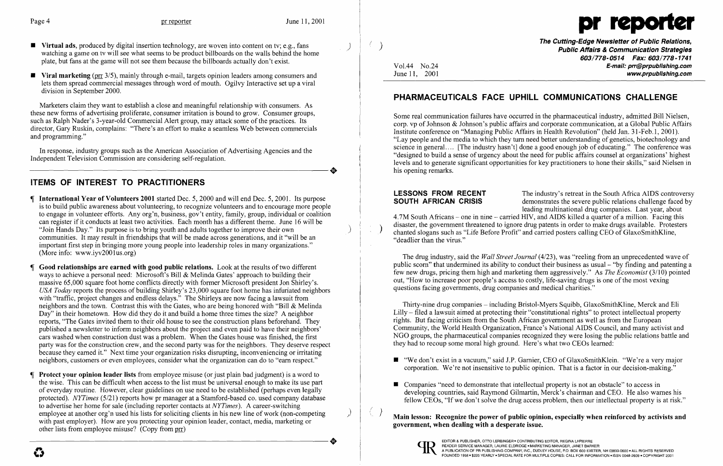

- **• Virtual ads**, produced by digital insertion technology, are woven into content on tv; e.g., fans watching a game on tv will see what seems to be product billboards on the walls behind the home plate, but fans at the game will not see them because the billboards actually don't exist.
- **•** Viral marketing (prr 3/5), mainly through e-mail, targets opinion leaders among consumers and lets them spread commercial messages through word of mouth. Ogilvy Interactive set up a viral division in September 2000.

In response, industry groups such as the American Association of Advertising Agencies and the Independent Television Commission are considering self-regulation. Independent Television Commission are considering self-regulation.

Marketers claim they want to establish a close and meaningful relationship with consumers. As these new forms of advertising proliferate, consumer irritation is bound to grow. Consumer groups, such as Ralph Nader's 3-year-old Commercial Alert group, may attack some of the practices. Its director, Gary Ruskin, complains: "There's an effort to make a seamless Web between commercials and programming."

# **ITEMS OF INTEREST TO PRACTITIONERS**

- **If International Year of Volunteers 2001** started Dec. 5, 2000 and will end Dec. 5, 2001. Its purpose is to build public awareness about volunteering, to recognize volunteers and to encourage more people to engage in volunteer efforts. Any org'n, business, gov't entity, family, group, individual or coalition can register if it conducts at least two activities. Each month has a different theme. June 16 will be "Join Hands Day." Its purpose is to bring youth and adults together to improve their own communities. It may result in friendships that will be made across generations, and it "will be an important first step in bringing more young people into leadership roles in many organizations." (More info: www.iyv2001us.org)
- **Good relationships are earned with good public relations.** Look at the results of two different ways to achieve a personal need: Microsoft's Bill  $\&$  Melinda Gates' approach to building their massive 65,000 square foot home conflicts directly with former Microsoft president Jon Shirley's. *USA Today* reports the process of building Shirley's 23,000 square foot home has infuriated neighbors with "traffic, project changes and endless delays." The Shirleys are now facing a lawsuit from neighbors and the town. Contrast this with the Gates, who are being honored with "Bill & Melinda Day" in their hometown. How did they do it and build a home three times the size? A neighbor reports, "The Gates invited them to their old house to see the construction plans beforehand. They published a newsletter to inform neighbors about the project and even paid to have their neighbors' cars washed when construction dust was a problem. When the Gates house was finished, the first party was for the construction crew, and the second party was for the neighbors. They deserve respect because they earned it." Next time your organization risks disrupting, inconveniencing or irritating neighbors, customers or even employees, consider what the organization can do to "earn respect."
- **Protect your opinion leader lists** from employee misuse (or just plain bad judgment) is a word to the wise. This can be difficult when access to the list must be universal enough to make its use part of everyday routine. However, clear guidelines on use need to be established (perhaps even legally protected). *NYTimes* (5/21) reports how pr manager at a Stamford-based co. used company database to advertise her home for sale (including reporter contacts at *NYTimes).* A career-switching employee at another org'n used his lists for soliciting clients in his new line of work (non-competing with past employer). How are you protecting your opinion leader, contact, media, marketing or other lists from employee misuse? (Copy from <u>prr</u>) other lists from employee misuse? (Copy from prr)

**The Cutting-Edge Newsletter of Public Relations,** ( ) **Public Affairs & Communication Strategies**  *603/778-0514 Fax: 603/778-1741*  Vo1.44 No.24 **E-mail: prr@prpublishing.com**  www.prpublishing.com

**LESSONS FROM RECENT** The industry's retreat in the South Africa AIDS controversy<br>**SOUTH AFRICAN CRISIS** demonstrates the severe public relations challenge faced by demonstrates the severe public relations challenge faced by leading multinational drug companies. Last year, about 4.7M South Africans – one in nine – carried HIV, and AIDS killed a quarter of a million. Facing this disaster, the government threatened to ignore drug patents in order to make drugs available. Protesters chanted slogans such as "Life Before Profit" and carried posters calling CEO of GlaxoSmithKline, "deadlier than the virus."

Thirty-nine drug companies – including Bristol-Myers Squibb, GlaxoSmithKline, Merck and Eli Lilly - filed a lawsuit aimed at protecting their "constitutional rights" to protect intellectual property rights. But facing criticism from the South African government as well as from the European Community, the World Health Organization, France's National AIDS Council, and many activist and NGO groups, the pharmaceutical companies recognized they were losing the public relations battle and they had to recoup some moral high ground. Here's what two CEOs learned:

- 
- $\blacksquare$  Companies "need to demonstrate that intellectual property is not an obstacle" to access in

■ "We don't exist in a vacuum," said J.P. Garnier, CEO of GlaxoSmithKlein. "We're a very major corporation. We're not insensitive to public opinion. That is a factor in our decision-making."

 $\boldsymbol{\mathcal{C}}$ 

## **PHARMACEUTICALS FACE UPHILL COMMUNICATIONS CHALLENGE**

Some real communication failures have occurred in the pharmaceutical industry, admitted Bill Nielsen, corp. vp of Johnson & Johnson's public affairs and corporate communication, at a Global Public Affairs Institute conference on "Managing Public Affairs in Health Revolution" (held Jan. 31-Feb.1, 2001). "Lay people and the media to which they tum need better understanding of genetics, biotechnology and science in general.... [The industry hasn't] done a good enough job of educating." The conference was "designed to build a sense of urgency about the need for public affairs counsel at organizations' highest levels and to generate significant opportunities for key practitioners to hone their skills," said Nielsen in his opening remarks.

The drug industry, said the *Wall Street Journal* (4/23), was "reeling from an unprecedented wave of public scorn" that undermined its ability to conduct their business as usual - "by finding and patenting a few new drugs, pricing them high and marketing them aggressively." As *The Economist* (3/10) pointed out, "How to increase poor people's access to costly, life-saving drugs is one of the most vexing questions facing governments, drug companies and medical charities."

developing countries, said Raymond Gilmartin, Merck's chairman and CEO. He also warnes his fellow CEOs, "If we don't solve the drug access problem, then our intellectual property is at risk."

# Main lesson: Recognize the power of public opinion, especially when reinforced by activists and

**government, when dealing with a desperate issue.**